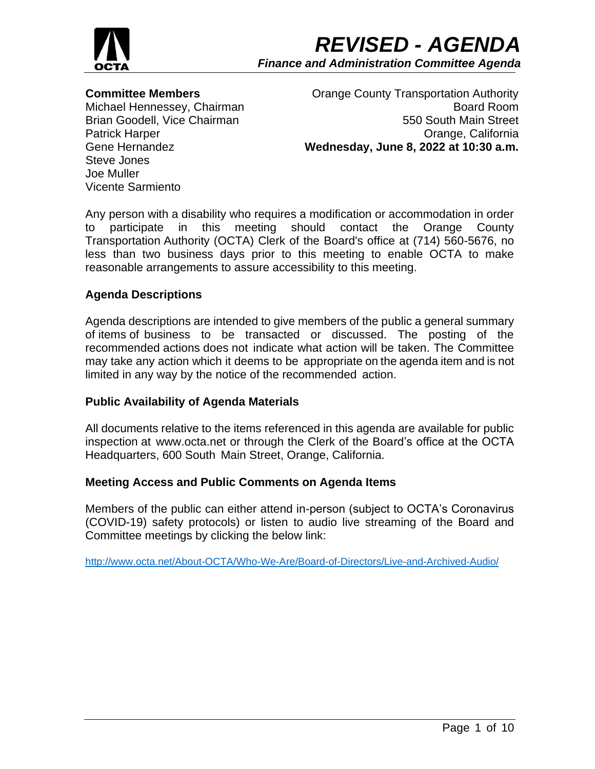

# **Committee Members**

Michael Hennessey, Chairman Brian Goodell, Vice Chairman Patrick Harper Gene Hernandez Steve Jones Joe Muller Vicente Sarmiento

Orange County Transportation Authority Board Room 550 South Main Street Orange, California **Wednesday, June 8, 2022 at 10:30 a.m.**

Any person with a disability who requires a modification or accommodation in order to participate in this meeting should contact the Orange County Transportation Authority (OCTA) Clerk of the Board's office at (714) 560-5676, no less than two business days prior to this meeting to enable OCTA to make reasonable arrangements to assure accessibility to this meeting.

# **Agenda Descriptions**

Agenda descriptions are intended to give members of the public a general summary of items of business to be transacted or discussed. The posting of the recommended actions does not indicate what action will be taken. The Committee may take any action which it deems to be appropriate on the agenda item and is not limited in any way by the notice of the recommended action.

## **Public Availability of Agenda Materials**

All documents relative to the items referenced in this agenda are available for public inspection at www.octa.net or through the Clerk of the Board's office at the OCTA Headquarters, 600 South Main Street, Orange, California.

## **Meeting Access and Public Comments on Agenda Items**

Members of the public can either attend in-person (subject to OCTA's Coronavirus (COVID-19) safety protocols) or listen to audio live streaming of the Board and Committee meetings by clicking the below link:

<http://www.octa.net/About-OCTA/Who-We-Are/Board-of-Directors/Live-and-Archived-Audio/>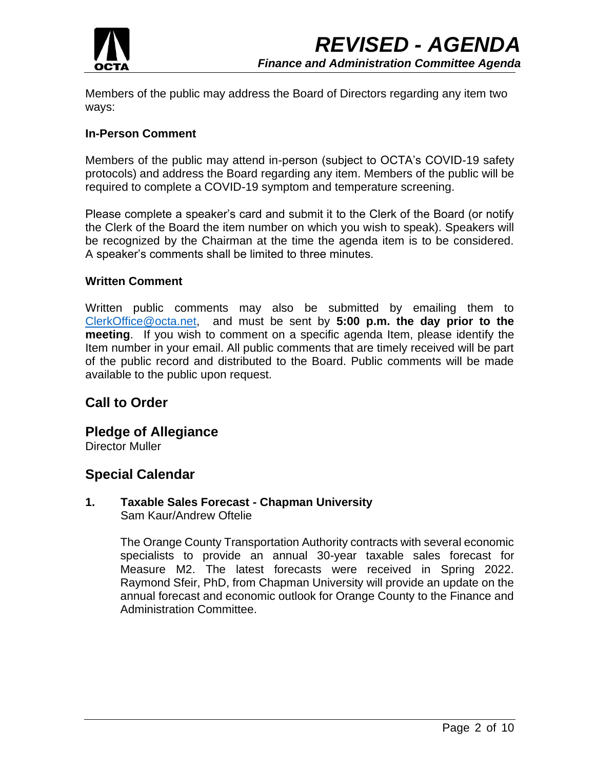

Members of the public may address the Board of Directors regarding any item two ways:

## **In-Person Comment**

Members of the public may attend in-person (subject to OCTA's COVID-19 safety protocols) and address the Board regarding any item. Members of the public will be required to complete a COVID-19 symptom and temperature screening.

Please complete a speaker's card and submit it to the Clerk of the Board (or notify the Clerk of the Board the item number on which you wish to speak). Speakers will be recognized by the Chairman at the time the agenda item is to be considered. A speaker's comments shall be limited to three minutes.

## **Written Comment**

Written public comments may also be submitted by emailing them to [ClerkOffice@octa.net,](mailto:ClerkOffice@octa.net) and must be sent by **5:00 p.m. the day prior to the meeting**. If you wish to comment on a specific agenda Item, please identify the Item number in your email. All public comments that are timely received will be part of the public record and distributed to the Board. Public comments will be made available to the public upon request.

# **Call to Order**

# **Pledge of Allegiance**

Director Muller

# **Special Calendar**

## **1. Taxable Sales Forecast - Chapman University** Sam Kaur/Andrew Oftelie

The Orange County Transportation Authority contracts with several economic specialists to provide an annual 30-year taxable sales forecast for Measure M2. The latest forecasts were received in Spring 2022. Raymond Sfeir, PhD, from Chapman University will provide an update on the annual forecast and economic outlook for Orange County to the Finance and Administration Committee.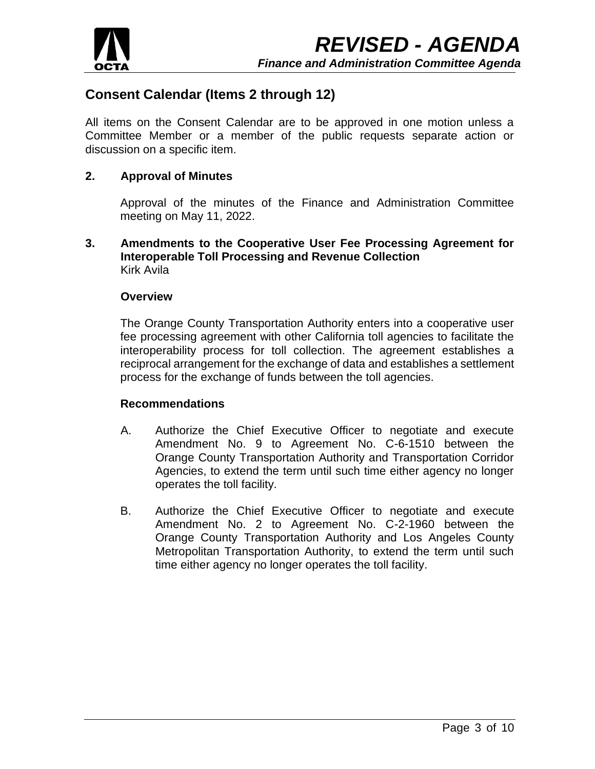

# **Consent Calendar (Items 2 through 12)**

All items on the Consent Calendar are to be approved in one motion unless a Committee Member or a member of the public requests separate action or discussion on a specific item.

# **2. Approval of Minutes**

Approval of the minutes of the Finance and Administration Committee meeting on May 11, 2022.

**3. Amendments to the Cooperative User Fee Processing Agreement for Interoperable Toll Processing and Revenue Collection** Kirk Avila

### **Overview**

The Orange County Transportation Authority enters into a cooperative user fee processing agreement with other California toll agencies to facilitate the interoperability process for toll collection. The agreement establishes a reciprocal arrangement for the exchange of data and establishes a settlement process for the exchange of funds between the toll agencies.

#### **Recommendations**

- A. Authorize the Chief Executive Officer to negotiate and execute Amendment No. 9 to Agreement No. C-6-1510 between the Orange County Transportation Authority and Transportation Corridor Agencies, to extend the term until such time either agency no longer operates the toll facility.
- B. Authorize the Chief Executive Officer to negotiate and execute Amendment No. 2 to Agreement No. C-2-1960 between the Orange County Transportation Authority and Los Angeles County Metropolitan Transportation Authority, to extend the term until such time either agency no longer operates the toll facility.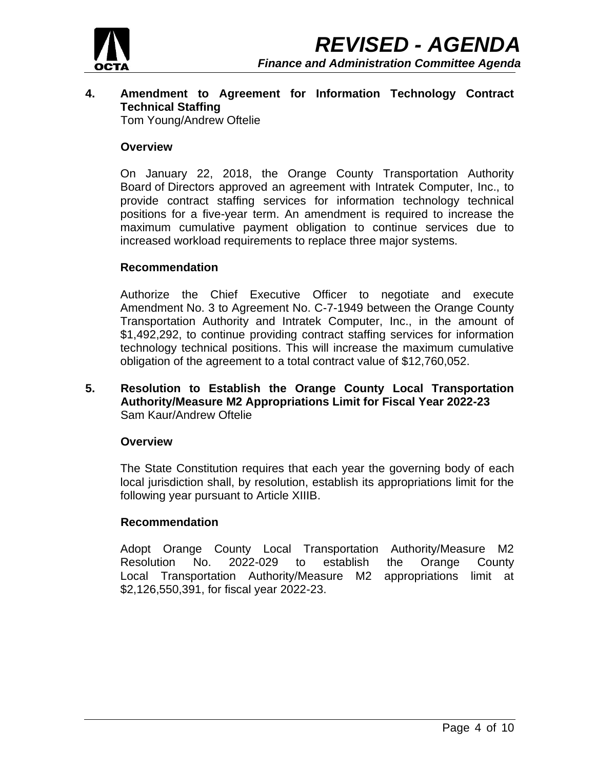

# **4. Amendment to Agreement for Information Technology Contract Technical Staffing**

Tom Young/Andrew Oftelie

## **Overview**

On January 22, 2018, the Orange County Transportation Authority Board of Directors approved an agreement with Intratek Computer, Inc., to provide contract staffing services for information technology technical positions for a five-year term. An amendment is required to increase the maximum cumulative payment obligation to continue services due to increased workload requirements to replace three major systems.

## **Recommendation**

Authorize the Chief Executive Officer to negotiate and execute Amendment No. 3 to Agreement No. C-7-1949 between the Orange County Transportation Authority and Intratek Computer, Inc., in the amount of \$1,492,292, to continue providing contract staffing services for information technology technical positions. This will increase the maximum cumulative obligation of the agreement to a total contract value of \$12,760,052.

## **5. Resolution to Establish the Orange County Local Transportation Authority/Measure M2 Appropriations Limit for Fiscal Year 2022-23** Sam Kaur/Andrew Oftelie

#### **Overview**

The State Constitution requires that each year the governing body of each local jurisdiction shall, by resolution, establish its appropriations limit for the following year pursuant to Article XIIIB.

## **Recommendation**

Adopt Orange County Local Transportation Authority/Measure M2 Resolution No. 2022-029 to establish the Orange County Local Transportation Authority/Measure M2 appropriations limit at \$2,126,550,391, for fiscal year 2022-23.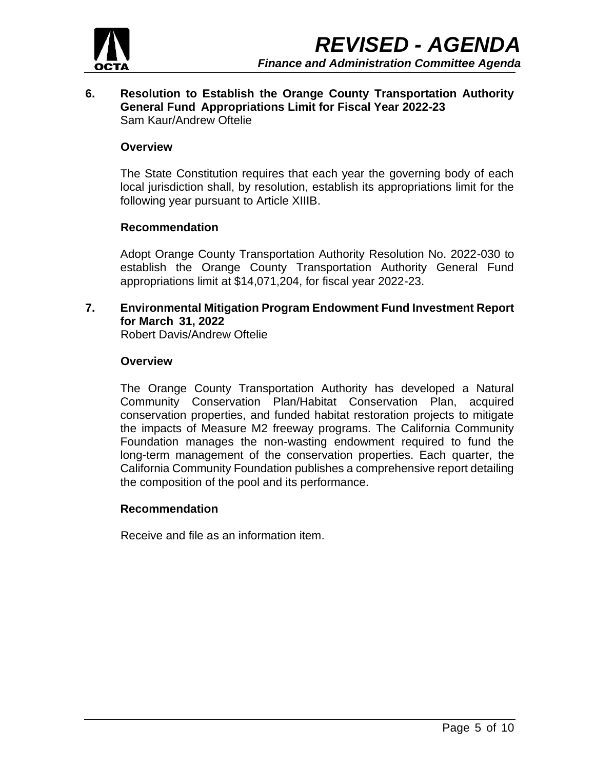

## **6. Resolution to Establish the Orange County Transportation Authority General Fund Appropriations Limit for Fiscal Year 2022-23** Sam Kaur/Andrew Oftelie

## **Overview**

The State Constitution requires that each year the governing body of each local jurisdiction shall, by resolution, establish its appropriations limit for the following year pursuant to Article XIIIB.

### **Recommendation**

Adopt Orange County Transportation Authority Resolution No. 2022-030 to establish the Orange County Transportation Authority General Fund appropriations limit at \$14,071,204, for fiscal year 2022-23.

**7. Environmental Mitigation Program Endowment Fund Investment Report for March 31, 2022**

Robert Davis/Andrew Oftelie

#### **Overview**

The Orange County Transportation Authority has developed a Natural Community Conservation Plan/Habitat Conservation Plan, acquired conservation properties, and funded habitat restoration projects to mitigate the impacts of Measure M2 freeway programs. The California Community Foundation manages the non-wasting endowment required to fund the long-term management of the conservation properties. Each quarter, the California Community Foundation publishes a comprehensive report detailing the composition of the pool and its performance.

#### **Recommendation**

Receive and file as an information item.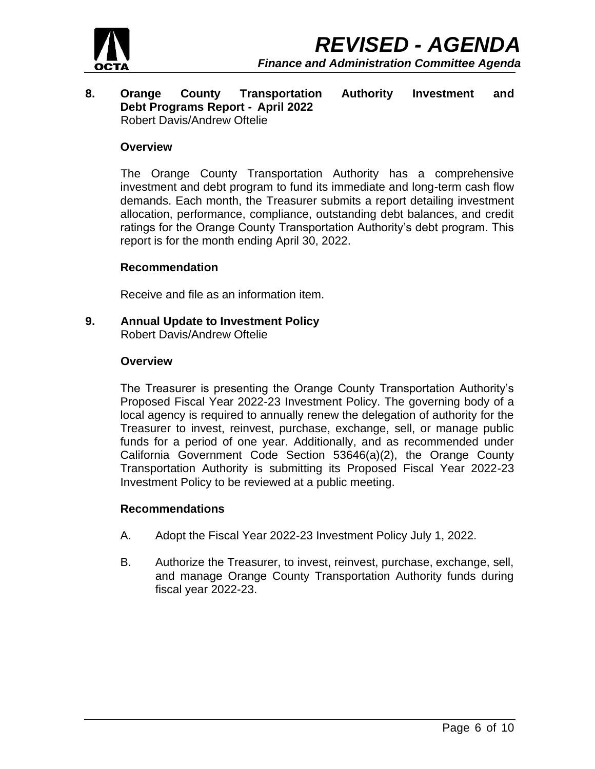

#### **8. Orange County Transportation Authority Investment and Debt Programs Report - April 2022** Robert Davis/Andrew Oftelie

### **Overview**

The Orange County Transportation Authority has a comprehensive investment and debt program to fund its immediate and long-term cash flow demands. Each month, the Treasurer submits a report detailing investment allocation, performance, compliance, outstanding debt balances, and credit ratings for the Orange County Transportation Authority's debt program. This report is for the month ending April 30, 2022.

### **Recommendation**

Receive and file as an information item.

**9. Annual Update to Investment Policy**

Robert Davis/Andrew Oftelie

### **Overview**

The Treasurer is presenting the Orange County Transportation Authority's Proposed Fiscal Year 2022-23 Investment Policy. The governing body of a local agency is required to annually renew the delegation of authority for the Treasurer to invest, reinvest, purchase, exchange, sell, or manage public funds for a period of one year. Additionally, and as recommended under California Government Code Section 53646(a)(2), the Orange County Transportation Authority is submitting its Proposed Fiscal Year 2022-23 Investment Policy to be reviewed at a public meeting.

## **Recommendations**

- A. Adopt the Fiscal Year 2022-23 Investment Policy July 1, 2022.
- B. Authorize the Treasurer, to invest, reinvest, purchase, exchange, sell, and manage Orange County Transportation Authority funds during fiscal year 2022-23.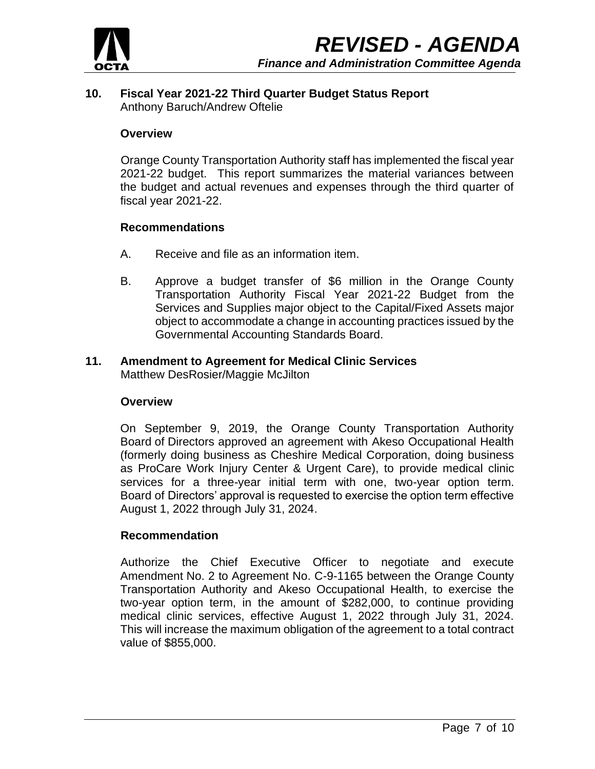

## **10. Fiscal Year 2021-22 Third Quarter Budget Status Report** Anthony Baruch/Andrew Oftelie

## **Overview**

Orange County Transportation Authority staff has implemented the fiscal year 2021-22 budget. This report summarizes the material variances between the budget and actual revenues and expenses through the third quarter of fiscal year 2021-22.

### **Recommendations**

- A. Receive and file as an information item.
- B. Approve a budget transfer of \$6 million in the Orange County Transportation Authority Fiscal Year 2021-22 Budget from the Services and Supplies major object to the Capital/Fixed Assets major object to accommodate a change in accounting practices issued by the Governmental Accounting Standards Board.

## **11. Amendment to Agreement for Medical Clinic Services**  Matthew DesRosier/Maggie McJilton

#### **Overview**

On September 9, 2019, the Orange County Transportation Authority Board of Directors approved an agreement with Akeso Occupational Health (formerly doing business as Cheshire Medical Corporation, doing business as ProCare Work Injury Center & Urgent Care), to provide medical clinic services for a three-year initial term with one, two-year option term. Board of Directors' approval is requested to exercise the option term effective August 1, 2022 through July 31, 2024.

## **Recommendation**

Authorize the Chief Executive Officer to negotiate and execute Amendment No. 2 to Agreement No. C-9-1165 between the Orange County Transportation Authority and Akeso Occupational Health, to exercise the two-year option term, in the amount of \$282,000, to continue providing medical clinic services, effective August 1, 2022 through July 31, 2024. This will increase the maximum obligation of the agreement to a total contract value of \$855,000.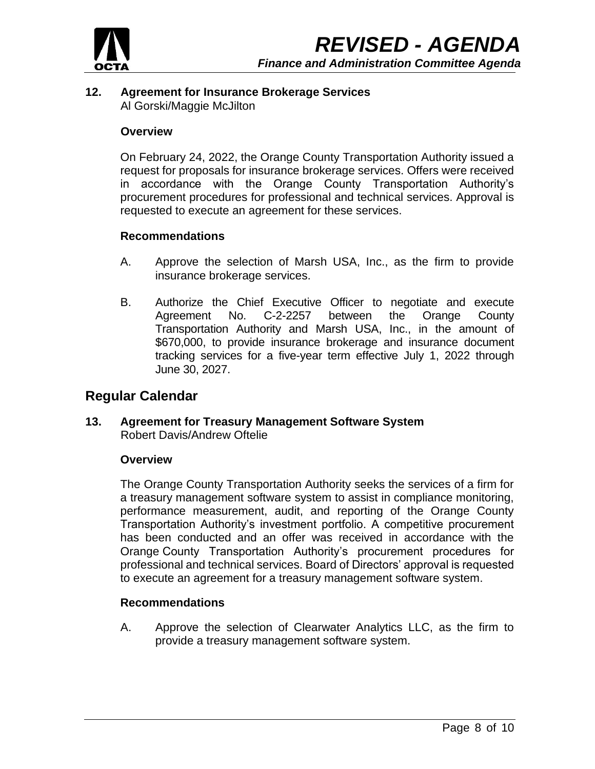

# **12. Agreement for Insurance Brokerage Services** Al Gorski/Maggie McJilton

## **Overview**

On February 24, 2022, the Orange County Transportation Authority issued a request for proposals for insurance brokerage services. Offers were received in accordance with the Orange County Transportation Authority's procurement procedures for professional and technical services. Approval is requested to execute an agreement for these services.

# **Recommendations**

- A. Approve the selection of Marsh USA, Inc., as the firm to provide insurance brokerage services.
- B. Authorize the Chief Executive Officer to negotiate and execute Agreement No. C-2-2257 between the Orange County Transportation Authority and Marsh USA, Inc., in the amount of \$670,000, to provide insurance brokerage and insurance document tracking services for a five-year term effective July 1, 2022 through June 30, 2027.

# **Regular Calendar**

**13. Agreement for Treasury Management Software System**  Robert Davis/Andrew Oftelie

## **Overview**

The Orange County Transportation Authority seeks the services of a firm for a treasury management software system to assist in compliance monitoring, performance measurement, audit, and reporting of the Orange County Transportation Authority's investment portfolio. A competitive procurement has been conducted and an offer was received in accordance with the Orange County Transportation Authority's procurement procedures for professional and technical services. Board of Directors' approval is requested to execute an agreement for a treasury management software system.

## **Recommendations**

A. Approve the selection of Clearwater Analytics LLC, as the firm to provide a treasury management software system.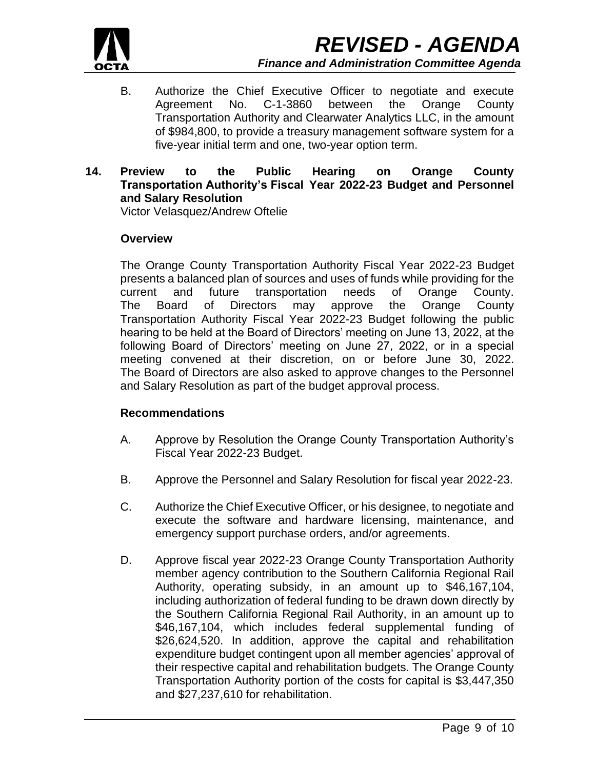

- B. Authorize the Chief Executive Officer to negotiate and execute Agreement No. C-1-3860 between the Orange County Transportation Authority and Clearwater Analytics LLC, in the amount of \$984,800, to provide a treasury management software system for a five-year initial term and one, two-year option term.
- **14. Preview to the Public Hearing on Orange County Transportation Authority's Fiscal Year 2022-23 Budget and Personnel and Salary Resolution**

Victor Velasquez/Andrew Oftelie

## **Overview**

The Orange County Transportation Authority Fiscal Year 2022-23 Budget presents a balanced plan of sources and uses of funds while providing for the current and future transportation needs of Orange County. The Board of Directors may approve the Orange County Transportation Authority Fiscal Year 2022-23 Budget following the public hearing to be held at the Board of Directors' meeting on June 13, 2022, at the following Board of Directors' meeting on June 27, 2022, or in a special meeting convened at their discretion, on or before June 30, 2022. The Board of Directors are also asked to approve changes to the Personnel and Salary Resolution as part of the budget approval process.

## **Recommendations**

- A. Approve by Resolution the Orange County Transportation Authority's Fiscal Year 2022-23 Budget.
- B. Approve the Personnel and Salary Resolution for fiscal year 2022-23.
- C. Authorize the Chief Executive Officer, or his designee, to negotiate and execute the software and hardware licensing, maintenance, and emergency support purchase orders, and/or agreements.
- D. Approve fiscal year 2022-23 Orange County Transportation Authority member agency contribution to the Southern California Regional Rail Authority, operating subsidy, in an amount up to \$46,167,104, including authorization of federal funding to be drawn down directly by the Southern California Regional Rail Authority, in an amount up to \$46,167,104, which includes federal supplemental funding of \$26,624,520. In addition, approve the capital and rehabilitation expenditure budget contingent upon all member agencies' approval of their respective capital and rehabilitation budgets. The Orange County Transportation Authority portion of the costs for capital is \$3,447,350 and \$27,237,610 for rehabilitation.